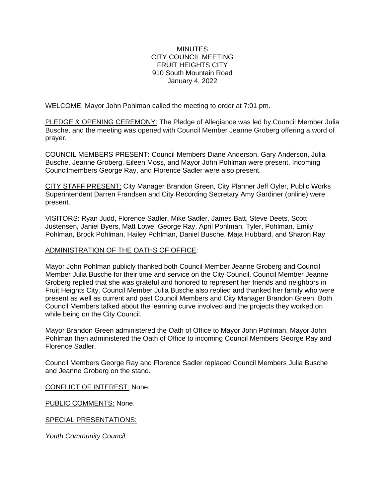### **MINUTES** CITY COUNCIL MEETING FRUIT HEIGHTS CITY 910 South Mountain Road January 4, 2022

WELCOME: Mayor John Pohlman called the meeting to order at 7:01 pm.

PLEDGE & OPENING CEREMONY: The Pledge of Allegiance was led by Council Member Julia Busche, and the meeting was opened with Council Member Jeanne Groberg offering a word of prayer.

COUNCIL MEMBERS PRESENT: Council Members Diane Anderson, Gary Anderson, Julia Busche, Jeanne Groberg, Eileen Moss, and Mayor John Pohlman were present. Incoming Councilmembers George Ray, and Florence Sadler were also present.

CITY STAFF PRESENT: City Manager Brandon Green, City Planner Jeff Oyler, Public Works Superintendent Darren Frandsen and City Recording Secretary Amy Gardiner (online) were present.

VISITORS: Ryan Judd, Florence Sadler, Mike Sadler, James Batt, Steve Deets, Scott Justensen, Janiel Byers, Matt Lowe, George Ray, April Pohlman, Tyler, Pohlman, Emily Pohlman, Brock Pohlman, Hailey Pohlman, Daniel Busche, Maja Hubbard, and Sharon Ray

### ADMINISTRATION OF THE OATHS OF OFFICE:

Mayor John Pohlman publicly thanked both Council Member Jeanne Groberg and Council Member Julia Busche for their time and service on the City Council. Council Member Jeanne Groberg replied that she was grateful and honored to represent her friends and neighbors in Fruit Heights City. Council Member Julia Busche also replied and thanked her family who were present as well as current and past Council Members and City Manager Brandon Green. Both Council Members talked about the learning curve involved and the projects they worked on while being on the City Council.

Mayor Brandon Green administered the Oath of Office to Mayor John Pohlman. Mayor John Pohlman then administered the Oath of Office to incoming Council Members George Ray and Florence Sadler.

Council Members George Ray and Florence Sadler replaced Council Members Julia Busche and Jeanne Groberg on the stand.

CONFLICT OF INTEREST: None.

PUBLIC COMMENTS: None.

SPECIAL PRESENTATIONS:

*Youth Community Council:*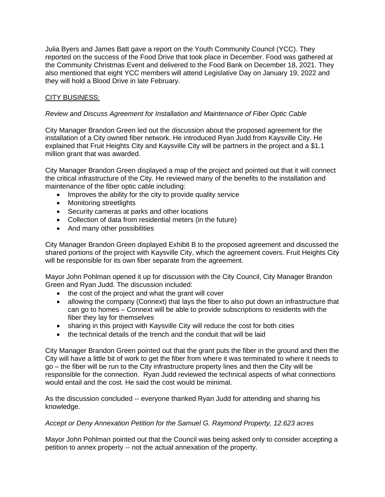Julia Byers and James Batt gave a report on the Youth Community Council (YCC). They reported on the success of the Food Drive that took place in December. Food was gathered at the Community Christmas Event and delivered to the Food Bank on December 18, 2021. They also mentioned that eight YCC members will attend Legislative Day on January 19, 2022 and they will hold a Blood Drive in late February.

## CITY BUSINESS:

### *Review and Discuss Agreement for Installation and Maintenance of Fiber Optic Cable*

City Manager Brandon Green led out the discussion about the proposed agreement for the installation of a City owned fiber network. He introduced Ryan Judd from Kaysville City. He explained that Fruit Heights City and Kaysville City will be partners in the project and a \$1.1 million grant that was awarded.

City Manager Brandon Green displayed a map of the project and pointed out that it will connect the critical infrastructure of the City. He reviewed many of the benefits to the installation and maintenance of the fiber optic cable including:

- Improves the ability for the city to provide quality service
- Monitoring streetlights
- Security cameras at parks and other locations
- Collection of data from residential meters (in the future)
- And many other possibilities

City Manager Brandon Green displayed Exhibit B to the proposed agreement and discussed the shared portions of the project with Kaysville City, which the agreement covers. Fruit Heights City will be responsible for its own fiber separate from the agreement.

Mayor John Pohlman opened it up for discussion with the City Council, City Manager Brandon Green and Ryan Judd. The discussion included:

- the cost of the project and what the grant will cover
- allowing the company (Connext) that lays the fiber to also put down an infrastructure that can go to homes – Connext will be able to provide subscriptions to residents with the fiber they lay for themselves
- sharing in this project with Kaysville City will reduce the cost for both cities
- the technical details of the trench and the conduit that will be laid

City Manager Brandon Green pointed out that the grant puts the fiber in the ground and then the City will have a little bit of work to get the fiber from where it was terminated to where it needs to go – the fiber will be run to the City infrastructure property lines and then the City will be responsible for the connection. Ryan Judd reviewed the technical aspects of what connections would entail and the cost. He said the cost would be minimal.

As the discussion concluded -- everyone thanked Ryan Judd for attending and sharing his knowledge.

#### *Accept or Deny Annexation Petition for the Samuel G. Raymond Property, 12.623 acres*

Mayor John Pohlman pointed out that the Council was being asked only to consider accepting a petition to annex property -- not the actual annexation of the property.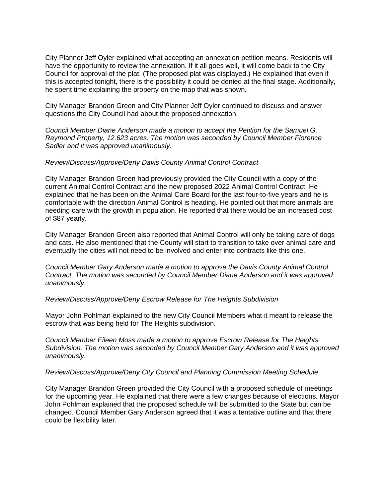City Planner Jeff Oyler explained what accepting an annexation petition means. Residents will have the opportunity to review the annexation. If it all goes well, it will come back to the City Council for approval of the plat. (The proposed plat was displayed.) He explained that even if this is accepted tonight, there is the possibility it could be denied at the final stage. Additionally, he spent time explaining the property on the map that was shown.

City Manager Brandon Green and City Planner Jeff Oyler continued to discuss and answer questions the City Council had about the proposed annexation.

*Council Member Diane Anderson made a motion to accept the Petition for the Samuel G. Raymond Property, 12.623 acres. The motion was seconded by Council Member Florence Sadler and it was approved unanimously.*

#### *Review/Discuss/Approve/Deny Davis County Animal Control Contract*

City Manager Brandon Green had previously provided the City Council with a copy of the current Animal Control Contract and the new proposed 2022 Animal Control Contract. He explained that he has been on the Animal Care Board for the last four-to-five years and he is comfortable with the direction Animal Control is heading. He pointed out that more animals are needing care with the growth in population. He reported that there would be an increased cost of \$87 yearly.

City Manager Brandon Green also reported that Animal Control will only be taking care of dogs and cats. He also mentioned that the County will start to transition to take over animal care and eventually the cities will not need to be involved and enter into contracts like this one.

*Council Member Gary Anderson made a motion to approve the Davis County Animal Control Contract. The motion was seconded by Council Member Diane Anderson and it was approved unanimously.*

#### *Review/Discuss/Approve/Deny Escrow Release for The Heights Subdivision*

Mayor John Pohlman explained to the new City Council Members what it meant to release the escrow that was being held for The Heights subdivision.

*Council Member Eileen Moss made a motion to approve Escrow Release for The Heights Subdivision. The motion was seconded by Council Member Gary Anderson and it was approved unanimously.*

#### *Review/Discuss/Approve/Deny City Council and Planning Commission Meeting Schedule*

City Manager Brandon Green provided the City Council with a proposed schedule of meetings for the upcoming year. He explained that there were a few changes because of elections. Mayor John Pohlman explained that the proposed schedule will be submitted to the State but can be changed. Council Member Gary Anderson agreed that it was a tentative outline and that there could be flexibility later.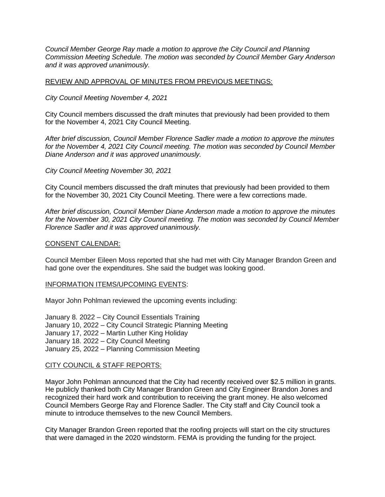*Council Member George Ray made a motion to approve the City Council and Planning Commission Meeting Schedule. The motion was seconded by Council Member Gary Anderson and it was approved unanimously.*

#### REVIEW AND APPROVAL OF MINUTES FROM PREVIOUS MEETINGS:

*City Council Meeting November 4, 2021*

City Council members discussed the draft minutes that previously had been provided to them for the November 4, 2021 City Council Meeting.

*After brief discussion, Council Member Florence Sadler made a motion to approve the minutes for the November 4, 2021 City Council meeting. The motion was seconded by Council Member Diane Anderson and it was approved unanimously.*

*City Council Meeting November 30, 2021*

City Council members discussed the draft minutes that previously had been provided to them for the November 30, 2021 City Council Meeting. There were a few corrections made.

*After brief discussion, Council Member Diane Anderson made a motion to approve the minutes for the November 30, 2021 City Council meeting. The motion was seconded by Council Member Florence Sadler and it was approved unanimously.*

#### CONSENT CALENDAR:

Council Member Eileen Moss reported that she had met with City Manager Brandon Green and had gone over the expenditures. She said the budget was looking good.

## INFORMATION ITEMS/UPCOMING EVENTS:

Mayor John Pohlman reviewed the upcoming events including:

January 8. 2022 – City Council Essentials Training January 10, 2022 – City Council Strategic Planning Meeting January 17, 2022 – Martin Luther King Holiday January 18. 2022 – City Council Meeting January 25, 2022 – Planning Commission Meeting

#### CITY COUNCIL & STAFF REPORTS:

Mayor John Pohlman announced that the City had recently received over \$2.5 million in grants. He publicly thanked both City Manager Brandon Green and City Engineer Brandon Jones and recognized their hard work and contribution to receiving the grant money. He also welcomed Council Members George Ray and Florence Sadler. The City staff and City Council took a minute to introduce themselves to the new Council Members.

City Manager Brandon Green reported that the roofing projects will start on the city structures that were damaged in the 2020 windstorm. FEMA is providing the funding for the project.